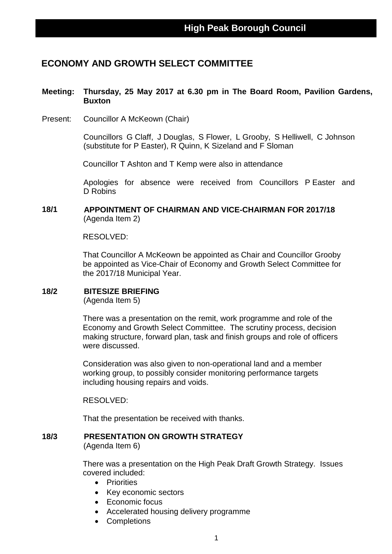# **ECONOMY AND GROWTH SELECT COMMITTEE**

### **Meeting: Thursday, 25 May 2017 at 6.30 pm in The Board Room, Pavilion Gardens, Buxton**

Present: Councillor A McKeown (Chair)

Councillors G Claff, J Douglas, S Flower, L Grooby, S Helliwell, C Johnson (substitute for P Easter), R Quinn, K Sizeland and F Sloman

Councillor T Ashton and T Kemp were also in attendance

Apologies for absence were received from Councillors P Easter and D Robins

### **18/1 APPOINTMENT OF CHAIRMAN AND VICE-CHAIRMAN FOR 2017/18** (Agenda Item 2)

RESOLVED:

That Councillor A McKeown be appointed as Chair and Councillor Grooby be appointed as Vice-Chair of Economy and Growth Select Committee for the 2017/18 Municipal Year.

### **18/2 BITESIZE BRIEFING**

(Agenda Item 5)

There was a presentation on the remit, work programme and role of the Economy and Growth Select Committee. The scrutiny process, decision making structure, forward plan, task and finish groups and role of officers were discussed.

Consideration was also given to non-operational land and a member working group, to possibly consider monitoring performance targets including housing repairs and voids.

RESOLVED:

That the presentation be received with thanks.

#### **18/3 PRESENTATION ON GROWTH STRATEGY** (Agenda Item 6)

There was a presentation on the High Peak Draft Growth Strategy. Issues covered included:

- Priorities
- Key economic sectors
- Economic focus
- Accelerated housing delivery programme
- Completions